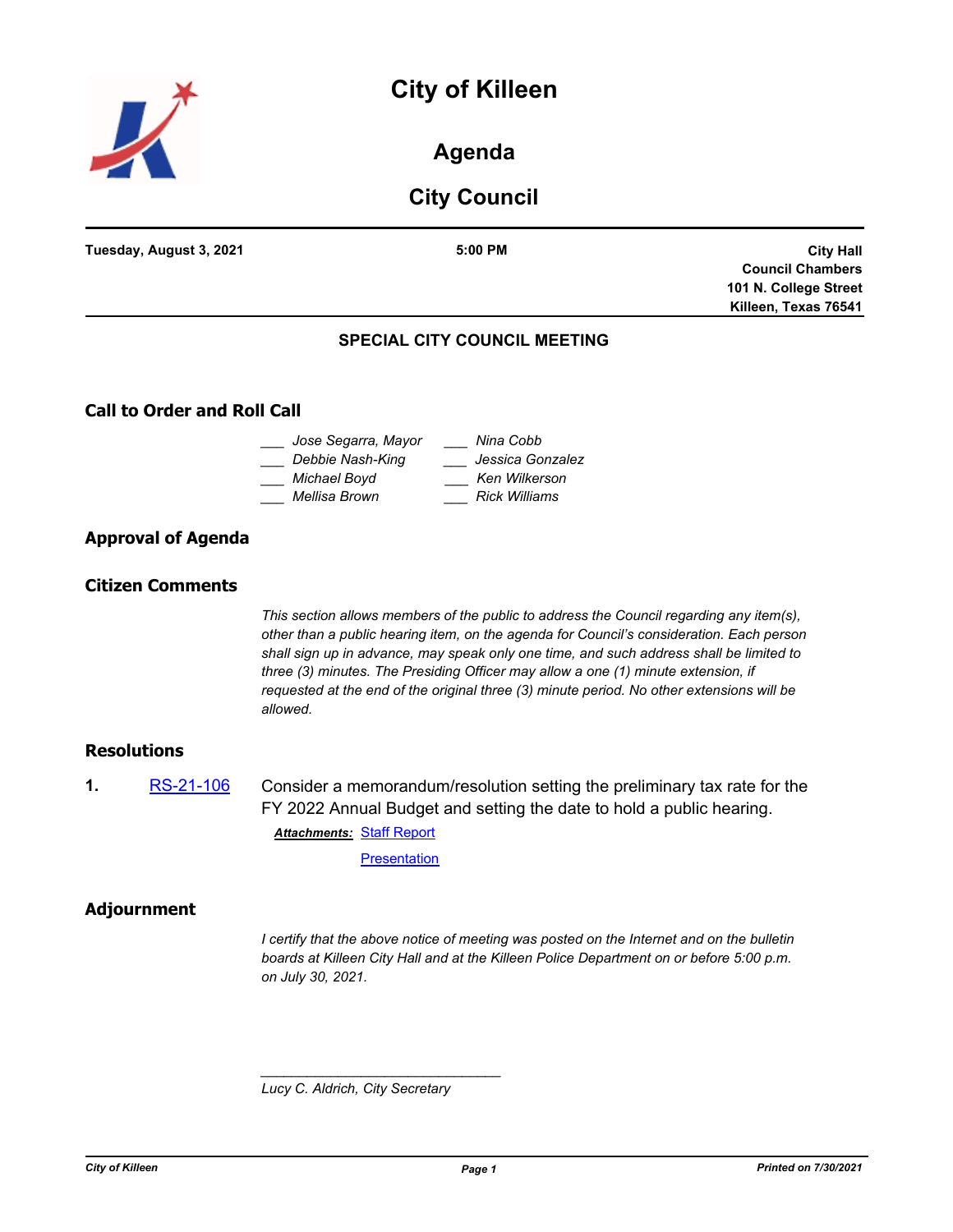## **City of Killeen**



## **Agenda**

## **City Council**

|                                      | 101 N. College Street<br>Killeen, Texas 76541 |
|--------------------------------------|-----------------------------------------------|
|                                      |                                               |
|                                      | <b>Council Chambers</b>                       |
| Tuesday, August 3, 2021<br>$5:00$ PM | <b>City Hall</b>                              |

# **Call to Order and Roll Call**

#### **Approval of Agenda**

#### **Citizen Comments**

*This section allows members of the public to address the Council regarding any item(s), other than a public hearing item, on the agenda for Council's consideration. Each person shall sign up in advance, may speak only one time, and such address shall be limited to three (3) minutes. The Presiding Officer may allow a one (1) minute extension, if requested at the end of the original three (3) minute period. No other extensions will be allowed.*

#### **Resolutions**

**1.** [RS-21-106](http://killeen.legistar.com/gateway.aspx?m=l&id=/matter.aspx?key=5608) Consider a memorandum/resolution setting the preliminary tax rate for the FY 2022 Annual Budget and setting the date to hold a public hearing. **Attachments: [Staff Report](http://killeen.legistar.com/gateway.aspx?M=F&ID=4d6460ca-20e0-46b4-bbcd-aaae50a01503.pdf)** 

**[Presentation](http://killeen.legistar.com/gateway.aspx?M=F&ID=7f38ae71-2f83-40d4-be76-1db2223fd045.pdf)** 

#### **Adjournment**

*I certify that the above notice of meeting was posted on the Internet and on the bulletin boards at Killeen City Hall and at the Killeen Police Department on or before 5:00 p.m. on July 30, 2021.*

*Lucy C. Aldrich, City Secretary* 

*\_\_\_\_\_\_\_\_\_\_\_\_\_\_\_\_\_\_\_\_\_\_\_\_\_\_\_\_\_\_\_*